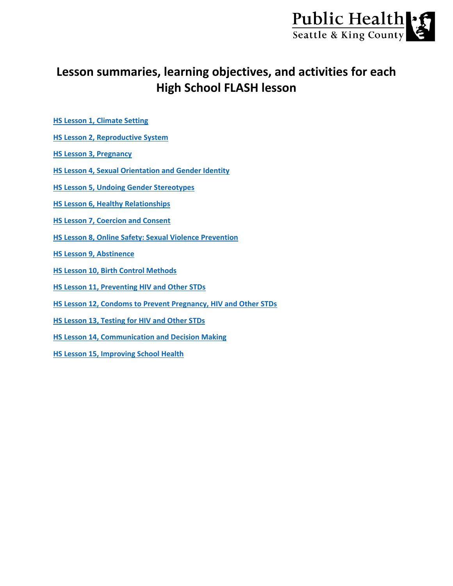

# **Lesson summaries, learning objectives, and activities for each High School FLASH lesson**

- **[HS Lesson 1, Climate Setting](#page-1-0)**
- **[HS Lesson 2, Reproductive System](#page-2-0)**
- **[HS Lesson 3, Pregnancy](#page-3-0)**
- **[HS Lesson 4, Sexual Orientation and Gender Identity](#page-4-0)**
- **[HS Lesson 5, Undoing Gender Stereotypes](#page-5-0)**
- **[HS Lesson 6, Healthy Relationships](#page-6-0)**
- **[HS Lesson 7, Coercion and Consent](#page-7-0)**
- **[HS Lesson 8, Online Safety: Sexual Violence Prevention](#page-8-0)**
- **[HS Lesson 9, Abstinence](#page-9-0)**
- **[HS Lesson 10, Birth Control Methods](#page-10-0)**
- **[HS Lesson 11, Preventing HIV and Other STDs](#page-11-0)**
- **[HS Lesson 12, Condoms to Prevent Pregnancy, HIV and Other STDs](#page-12-0)**
- **[HS Lesson 13, Testing for HIV and Other STDs](#page-13-0)**
- **[HS Lesson 14, Communication and Decision Making](#page-14-0)**
- **[HS Lesson 15, Improving School Health](#page-15-0)**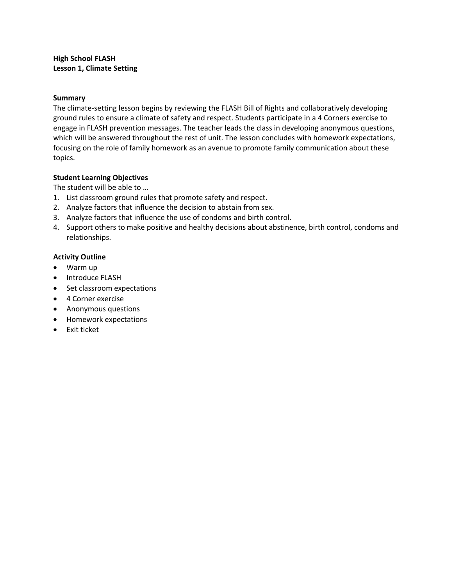#### <span id="page-1-0"></span>**High School FLASH Lesson 1, Climate Setting**

#### **Summary**

The climate-setting lesson begins by reviewing the FLASH Bill of Rights and collaboratively developing ground rules to ensure a climate of safety and respect. Students participate in a 4 Corners exercise to engage in FLASH prevention messages. The teacher leads the class in developing anonymous questions, which will be answered throughout the rest of unit. The lesson concludes with homework expectations, focusing on the role of family homework as an avenue to promote family communication about these topics.

## **Student Learning Objectives**

The student will be able to …

- 1. List classroom ground rules that promote safety and respect.
- 2. Analyze factors that influence the decision to abstain from sex.
- 3. Analyze factors that influence the use of condoms and birth control.
- 4. Support others to make positive and healthy decisions about abstinence, birth control, condoms and relationships.

#### **Activity Outline**

- Warm up
- Introduce FLASH
- Set classroom expectations
- 4 Corner exercise
- Anonymous questions
- Homework expectations
- Exit ticket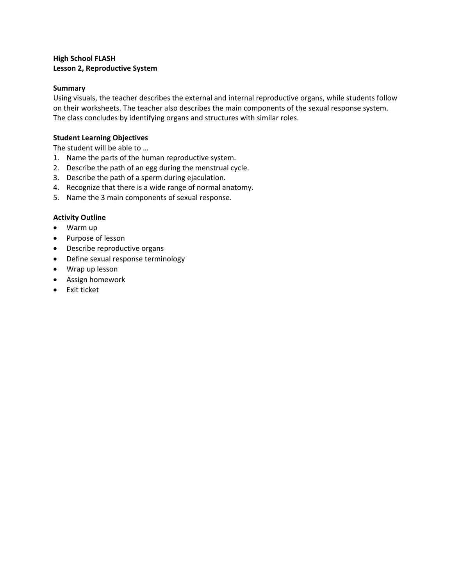# <span id="page-2-0"></span>**High School FLASH Lesson 2, Reproductive System**

#### **Summary**

Using visuals, the teacher describes the external and internal reproductive organs, while students follow on their worksheets. The teacher also describes the main components of the sexual response system. The class concludes by identifying organs and structures with similar roles.

#### **Student Learning Objectives**

The student will be able to …

- 1. Name the parts of the human reproductive system.
- 2. Describe the path of an egg during the menstrual cycle.
- 3. Describe the path of a sperm during ejaculation.
- 4. Recognize that there is a wide range of normal anatomy.
- 5. Name the 3 main components of sexual response.

#### **Activity Outline**

- Warm up
- Purpose of lesson
- Describe reproductive organs
- Define sexual response terminology
- Wrap up lesson
- Assign homework
- Exit ticket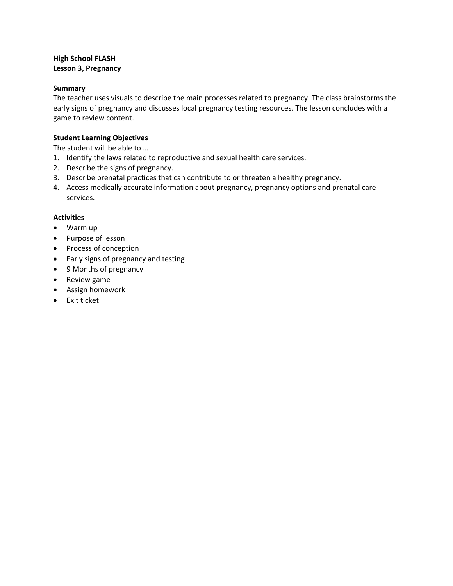# <span id="page-3-0"></span>**High School FLASH Lesson 3, Pregnancy**

#### **Summary**

The teacher uses visuals to describe the main processes related to pregnancy. The class brainstorms the early signs of pregnancy and discusses local pregnancy testing resources. The lesson concludes with a game to review content.

#### **Student Learning Objectives**

The student will be able to …

- 1. Identify the laws related to reproductive and sexual health care services.
- 2. Describe the signs of pregnancy.
- 3. Describe prenatal practices that can contribute to or threaten a healthy pregnancy.
- 4. Access medically accurate information about pregnancy, pregnancy options and prenatal care services.

- Warm up
- Purpose of lesson
- Process of conception
- Early signs of pregnancy and testing
- 9 Months of pregnancy
- Review game
- Assign homework
- Exit ticket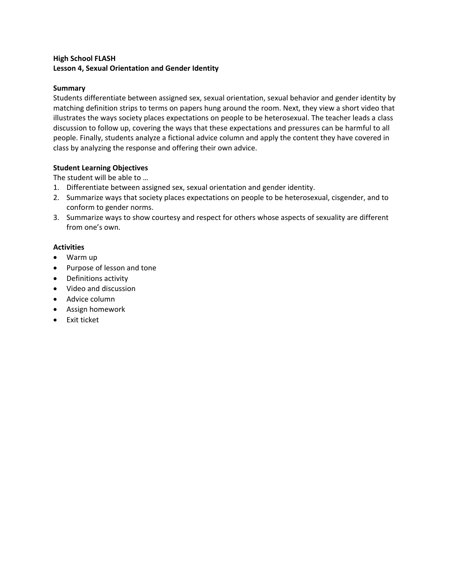# <span id="page-4-0"></span>**High School FLASH Lesson 4, Sexual Orientation and Gender Identity**

## **Summary**

Students differentiate between assigned sex, sexual orientation, sexual behavior and gender identity by matching definition strips to terms on papers hung around the room. Next, they view a short video that illustrates the ways society places expectations on people to be heterosexual. The teacher leads a class discussion to follow up, covering the ways that these expectations and pressures can be harmful to all people. Finally, students analyze a fictional advice column and apply the content they have covered in class by analyzing the response and offering their own advice.

## **Student Learning Objectives**

The student will be able to …

- 1. Differentiate between assigned sex, sexual orientation and gender identity.
- 2. Summarize ways that society places expectations on people to be heterosexual, cisgender, and to conform to gender norms.
- 3. Summarize ways to show courtesy and respect for others whose aspects of sexuality are different from one's own.

- Warm up
- Purpose of lesson and tone
- Definitions activity
- Video and discussion
- Advice column
- Assign homework
- Exit ticket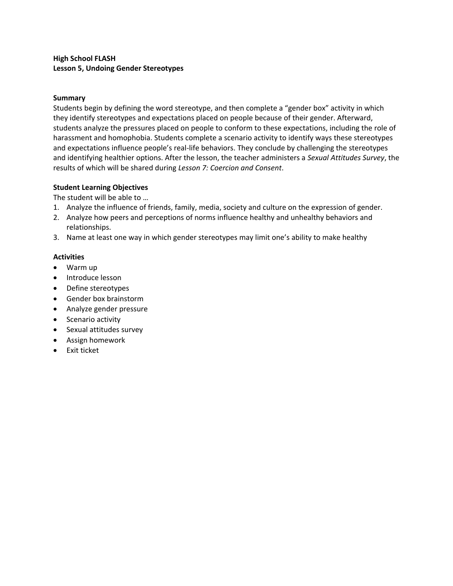# <span id="page-5-0"></span>**High School FLASH Lesson 5, Undoing Gender Stereotypes**

#### **Summary**

Students begin by defining the word stereotype, and then complete a "gender box" activity in which they identify stereotypes and expectations placed on people because of their gender. Afterward, students analyze the pressures placed on people to conform to these expectations, including the role of harassment and homophobia. Students complete a scenario activity to identify ways these stereotypes and expectations influence people's real-life behaviors. They conclude by challenging the stereotypes and identifying healthier options. After the lesson, the teacher administers a *Sexual Attitudes Survey*, the results of which will be shared during *Lesson 7: Coercion and Consent*.

#### **Student Learning Objectives**

The student will be able to …

- 1. Analyze the influence of friends, family, media, society and culture on the expression of gender.
- 2. Analyze how peers and perceptions of norms influence healthy and unhealthy behaviors and relationships.
- 3. Name at least one way in which gender stereotypes may limit one's ability to make healthy

- Warm up
- Introduce lesson
- Define stereotypes
- Gender box brainstorm
- Analyze gender pressure
- Scenario activity
- Sexual attitudes survey
- Assign homework
- Exit ticket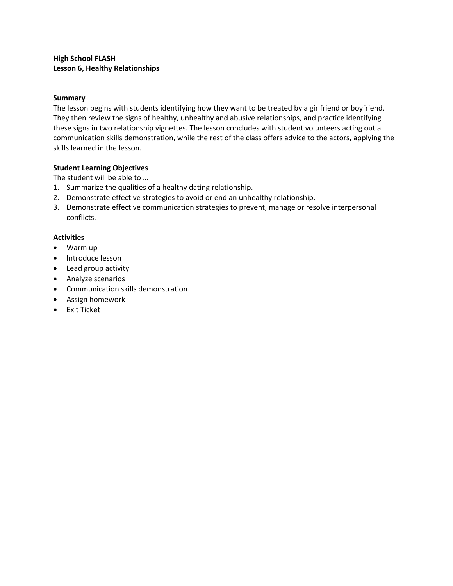# <span id="page-6-0"></span>**High School FLASH Lesson 6, Healthy Relationships**

## **Summary**

The lesson begins with students identifying how they want to be treated by a girlfriend or boyfriend. They then review the signs of healthy, unhealthy and abusive relationships, and practice identifying these signs in two relationship vignettes. The lesson concludes with student volunteers acting out a communication skills demonstration, while the rest of the class offers advice to the actors, applying the skills learned in the lesson.

## **Student Learning Objectives**

The student will be able to …

- 1. Summarize the qualities of a healthy dating relationship.
- 2. Demonstrate effective strategies to avoid or end an unhealthy relationship.
- 3. Demonstrate effective communication strategies to prevent, manage or resolve interpersonal conflicts.

- Warm up
- Introduce lesson
- Lead group activity
- Analyze scenarios
- Communication skills demonstration
- Assign homework
- Exit Ticket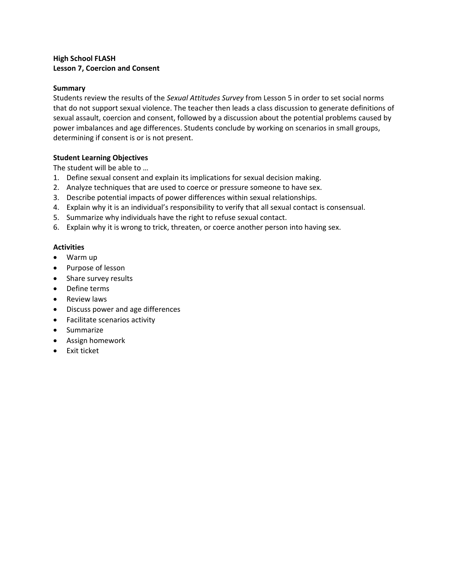# <span id="page-7-0"></span>**High School FLASH Lesson 7, Coercion and Consent**

#### **Summary**

Students review the results of the *Sexual Attitudes Survey* from Lesson 5 in order to set social norms that do not support sexual violence. The teacher then leads a class discussion to generate definitions of sexual assault, coercion and consent, followed by a discussion about the potential problems caused by power imbalances and age differences. Students conclude by working on scenarios in small groups, determining if consent is or is not present.

#### **Student Learning Objectives**

The student will be able to …

- 1. Define sexual consent and explain its implications for sexual decision making.
- 2. Analyze techniques that are used to coerce or pressure someone to have sex.
- 3. Describe potential impacts of power differences within sexual relationships.
- 4. Explain why it is an individual's responsibility to verify that all sexual contact is consensual.
- 5. Summarize why individuals have the right to refuse sexual contact.
- 6. Explain why it is wrong to trick, threaten, or coerce another person into having sex.

- Warm up
- Purpose of lesson
- Share survey results
- Define terms
- Review laws
- Discuss power and age differences
- Facilitate scenarios activity
- Summarize
- Assign homework
- Exit ticket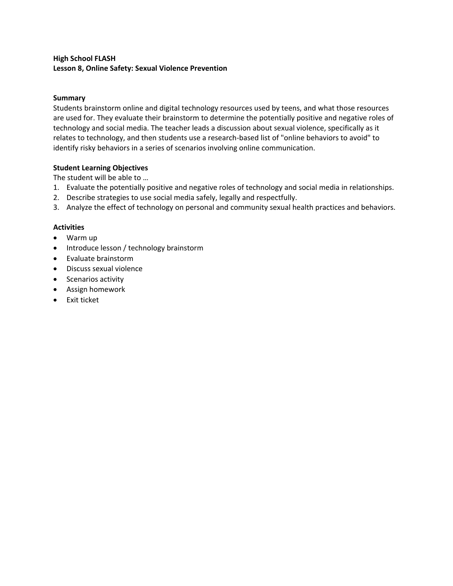# <span id="page-8-0"></span>**High School FLASH Lesson 8, Online Safety: Sexual Violence Prevention**

# **Summary**

Students brainstorm online and digital technology resources used by teens, and what those resources are used for. They evaluate their brainstorm to determine the potentially positive and negative roles of technology and social media. The teacher leads a discussion about sexual violence, specifically as it relates to technology, and then students use a research-based list of "online behaviors to avoid" to identify risky behaviors in a series of scenarios involving online communication.

## **Student Learning Objectives**

The student will be able to …

- 1. Evaluate the potentially positive and negative roles of technology and social media in relationships.
- 2. Describe strategies to use social media safely, legally and respectfully.
- 3. Analyze the effect of technology on personal and community sexual health practices and behaviors.

- Warm up
- Introduce lesson / technology brainstorm
- Evaluate brainstorm
- Discuss sexual violence
- Scenarios activity
- Assign homework
- Exit ticket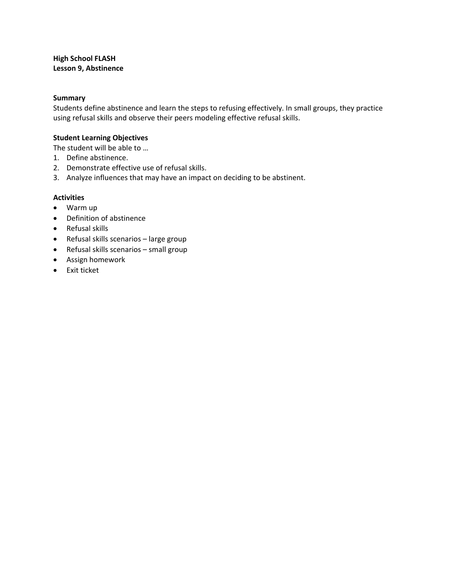## <span id="page-9-0"></span>**High School FLASH Lesson 9, Abstinence**

#### **Summary**

Students define abstinence and learn the steps to refusing effectively. In small groups, they practice using refusal skills and observe their peers modeling effective refusal skills.

#### **Student Learning Objectives**

The student will be able to …

- 1. Define abstinence.
- 2. Demonstrate effective use of refusal skills.
- 3. Analyze influences that may have an impact on deciding to be abstinent.

- Warm up
- Definition of abstinence
- Refusal skills
- Refusal skills scenarios large group
- Refusal skills scenarios small group
- Assign homework
- Exit ticket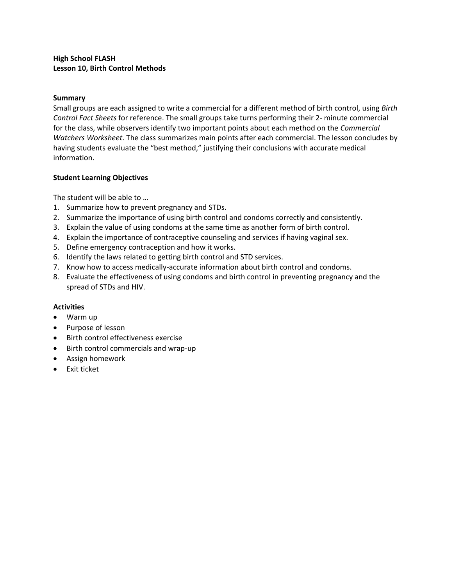## <span id="page-10-0"></span>**High School FLASH Lesson 10, Birth Control Methods**

#### **Summary**

Small groups are each assigned to write a commercial for a different method of birth control, using *Birth Control Fact Sheets* for reference. The small groups take turns performing their 2- minute commercial for the class, while observers identify two important points about each method on the *Commercial Watchers Worksheet*. The class summarizes main points after each commercial. The lesson concludes by having students evaluate the "best method," justifying their conclusions with accurate medical information.

#### **Student Learning Objectives**

The student will be able to …

- 1. Summarize how to prevent pregnancy and STDs.
- 2. Summarize the importance of using birth control and condoms correctly and consistently.
- 3. Explain the value of using condoms at the same time as another form of birth control.
- 4. Explain the importance of contraceptive counseling and services if having vaginal sex.
- 5. Define emergency contraception and how it works.
- 6. Identify the laws related to getting birth control and STD services.
- 7. Know how to access medically-accurate information about birth control and condoms.
- 8. Evaluate the effectiveness of using condoms and birth control in preventing pregnancy and the spread of STDs and HIV.

- Warm up
- Purpose of lesson
- Birth control effectiveness exercise
- Birth control commercials and wrap-up
- Assign homework
- Exit ticket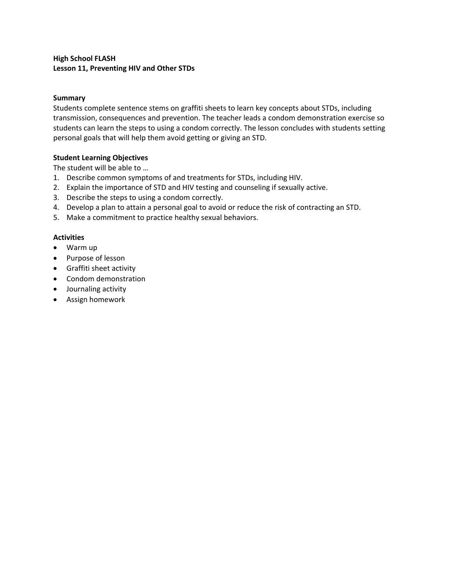# <span id="page-11-0"></span>**High School FLASH Lesson 11, Preventing HIV and Other STDs**

## **Summary**

Students complete sentence stems on graffiti sheets to learn key concepts about STDs, including transmission, consequences and prevention. The teacher leads a condom demonstration exercise so students can learn the steps to using a condom correctly. The lesson concludes with students setting personal goals that will help them avoid getting or giving an STD.

#### **Student Learning Objectives**

The student will be able to …

- 1. Describe common symptoms of and treatments for STDs, including HIV.
- 2. Explain the importance of STD and HIV testing and counseling if sexually active.
- 3. Describe the steps to using a condom correctly.
- 4. Develop a plan to attain a personal goal to avoid or reduce the risk of contracting an STD.
- 5. Make a commitment to practice healthy sexual behaviors.

- Warm up
- Purpose of lesson
- Graffiti sheet activity
- Condom demonstration
- Journaling activity
- Assign homework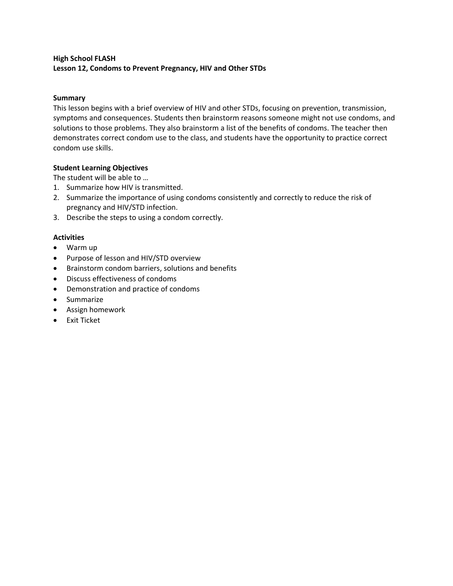# <span id="page-12-0"></span>**High School FLASH Lesson 12, Condoms to Prevent Pregnancy, HIV and Other STDs**

# **Summary**

This lesson begins with a brief overview of HIV and other STDs, focusing on prevention, transmission, symptoms and consequences. Students then brainstorm reasons someone might not use condoms, and solutions to those problems. They also brainstorm a list of the benefits of condoms. The teacher then demonstrates correct condom use to the class, and students have the opportunity to practice correct condom use skills.

## **Student Learning Objectives**

The student will be able to …

- 1. Summarize how HIV is transmitted.
- 2. Summarize the importance of using condoms consistently and correctly to reduce the risk of pregnancy and HIV/STD infection.
- 3. Describe the steps to using a condom correctly.

- Warm up
- Purpose of lesson and HIV/STD overview
- Brainstorm condom barriers, solutions and benefits
- Discuss effectiveness of condoms
- Demonstration and practice of condoms
- Summarize
- Assign homework
- Exit Ticket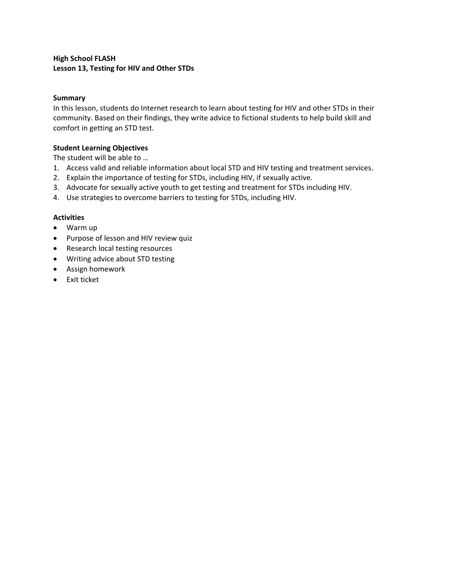# <span id="page-13-0"></span>**High School FLASH Lesson 13, Testing for HIV and Other STDs**

#### **Summary**

In this lesson, students do Internet research to learn about testing for HIV and other STDs in their community. Based on their findings, they write advice to fictional students to help build skill and comfort in getting an STD test.

# **Student Learning Objectives**

The student will be able to …

- 1. Access valid and reliable information about local STD and HIV testing and treatment services.
- 2. Explain the importance of testing for STDs, including HIV, if sexually active.
- 3. Advocate for sexually active youth to get testing and treatment for STDs including HIV.
- 4. Use strategies to overcome barriers to testing for STDs, including HIV.

- Warm up
- Purpose of lesson and HIV review quiz
- Research local testing resources
- Writing advice about STD testing
- Assign homework
- Exit ticket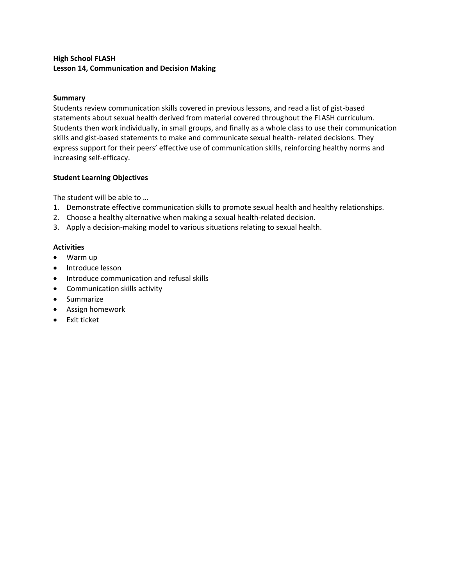# <span id="page-14-0"></span>**High School FLASH Lesson 14, Communication and Decision Making**

## **Summary**

Students review communication skills covered in previous lessons, and read a list of gist-based statements about sexual health derived from material covered throughout the FLASH curriculum. Students then work individually, in small groups, and finally as a whole class to use their communication skills and gist-based statements to make and communicate sexual health- related decisions. They express support for their peers' effective use of communication skills, reinforcing healthy norms and increasing self-efficacy.

## **Student Learning Objectives**

The student will be able to …

- 1. Demonstrate effective communication skills to promote sexual health and healthy relationships.
- 2. Choose a healthy alternative when making a sexual health-related decision.
- 3. Apply a decision-making model to various situations relating to sexual health.

- Warm up
- Introduce lesson
- Introduce communication and refusal skills
- Communication skills activity
- Summarize
- Assign homework
- Exit ticket